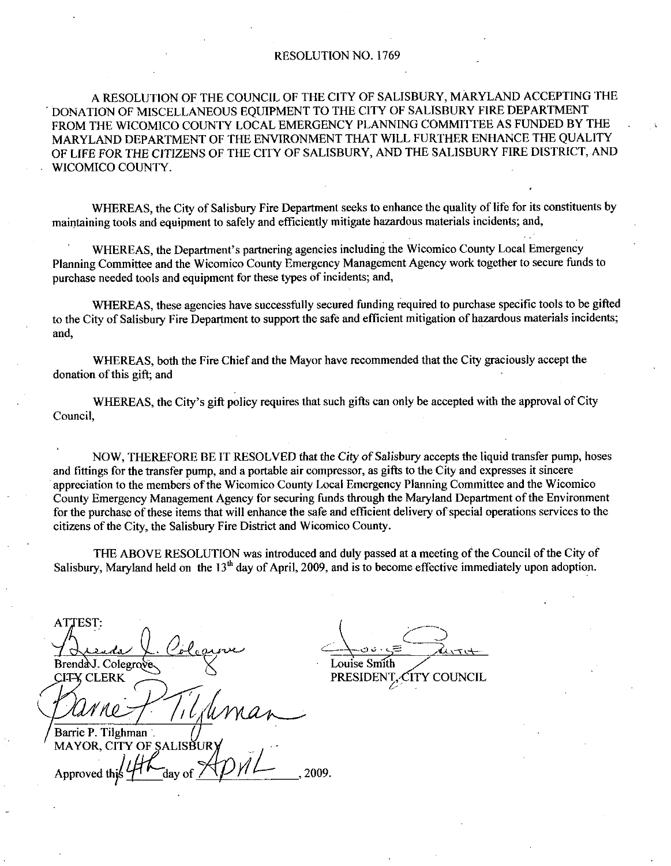### RESOLUTION NO. 1769

A RESOLUTION OF THE COUNCIL OF THE CITY OF SALISBURY, MARYLAND ACCEPTING THE DONATION OF MISCELLANEOUS EQUIPMENT TO THE CITYOF SALISBURY FIREDEPARTMENT FROM THE WICOMICO COUNTY LOCAL EMERGENCY PLANNING COMMITTEE AS FUNDED BY THE MARYLAND DEPARTMENT OF THE ENVIRONMENT THAT WILL FURTHER ENHANCE THE QUALITY OF LIFE FOR THE CITIZENS OF THE CITY OF SALISBURY, AND THE SALISBURY FIRE DISTRICT, AND WICOMICO COUNTY

WHEREAS, the City of Salisbury Fire Department seeks to enhance the quality of life for its constituents by maintaining tools and equipment to safely and efficiently mitigate hazardous materials incidents; and,

IICO COUNTY.<br>WHEREAS, the City of Salisbury Fire Department seeks to enhance the quality of life for its constituting tools and equipment to safely and efficiently mitigate hazardous materials incidents; and,<br>WHEREAS, the Planning Committee and the Wicomico County Emergency Management Agency work together to secure funds to purchase needed tools and equipment for these types of incidents; and,

WHEREAS, these agencies have successfully secured funding required to purchase specific tools to be gifted to the City of Salisbury Fire Department to support the safe and efficient mitigation of hazardous materials incidents; and

WHEREAS, both the Fire Chief and the Mayor have recommended that the City graciously accept the donation of this gift; and

WHEREAS, the City's gift policy requires that such gifts can only be accepted with the approval of City Council

NOW, THEREFORE BE IT RESOLVED that the City of Salisbury accepts the liquid transfer pump, hoses and fittings for the transfer pump, and a portable air compressor, as gifts to the City and expresses it sincere appreciation to the members of the Wicomico County Local Emergency Planning Committee and the Wicomico County Emergency Management Agency for securing funds through the Maryland Department of the Environment for the purchase of these items that will enhance the safe and efficient delivery of special operations services to the citizens of the City, the Salisbury Fire District and Wicomico County.

THE ABOVE RESOLUTION was introduced and duly passed at a meeting of the Council of the City of Salisbury, Maryland held on the  $13<sup>th</sup>$  day of April, 2009, and is to become effective immediately upon adoption.

**ATTEST:** Brenda J. Colegrove

Barrie P. Tilghman MAYOR Letter<br>City of SALIS<br>this 4 day of UR Approved thi 2009

Louise Smith PRESIDENT, CITY COUNCIL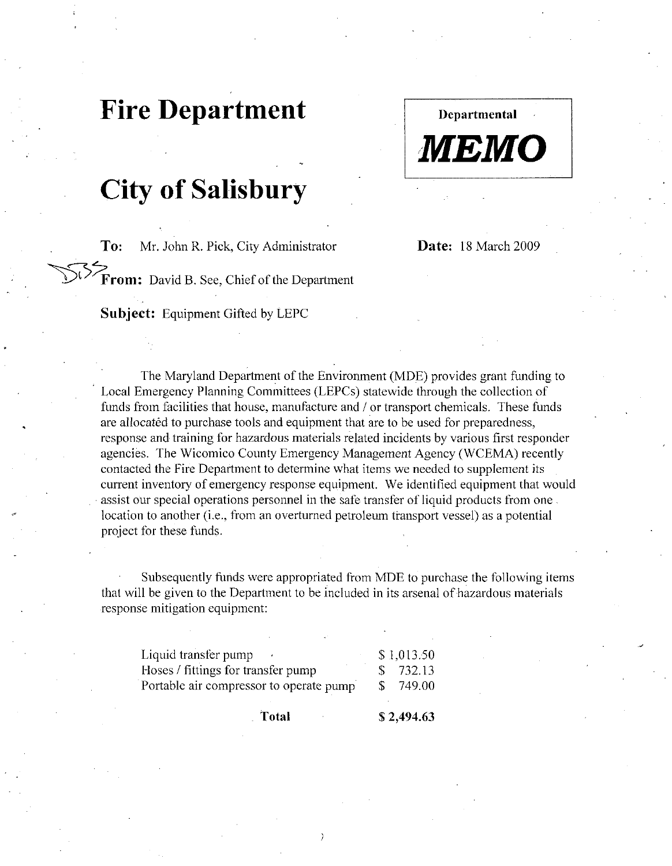## Fire Department

# **City of Salisbury**

To: Mr. John R. Pick, City Administrator Date: 18 March 2009

Departmental

MEMO

From: David B. See, Chief of the Department

Subject: Equipment Gifted by LEPC

The Maryland Department of the Environment (MDE) provides grant funding to Local Emergency Planning Committees (LEPCs) statewide through the collection of funds from facilities that house, manufacture and / or transport chemicals. These funds are allocated to purchase tools and equipment that are to be used for preparedness, response and training for hazardous materials related incidents by various first responder agencies. The Wicomico County Emergency Management Agency (WCEMA) recently contacted the Fire Department to determine what items we needed to supplement its current inventory of emergency response equipment. We identified equipment that would assist our special operations personnel in the safe transfer of liquid products from one response and training for nazardous materials related incidents by various first responagencies. The Wicomico County Emergency Management Agency (WCEMA) recen contacted the Fire Department to determine what items we needed project for these funds

Subsequently funds were appropriated from MDE to purchase the following items that will be given to the Department to be included in its arsenal of hazardous materials response mitigation equipment

| Hoses / fittings for transfer pump<br>Portable air compressor to operate pump                                                                 | \$ |            |
|-----------------------------------------------------------------------------------------------------------------------------------------------|----|------------|
|                                                                                                                                               |    | 749.00     |
|                                                                                                                                               | S. | 732.13     |
| Liquid transfer pump                                                                                                                          |    | \$1,013.50 |
| Subsequently funds were appropriated from MDE to pur<br>I be given to the Department to be included in its arsenal<br>e mitigation equipment: |    |            |
| for these funds.                                                                                                                              |    |            |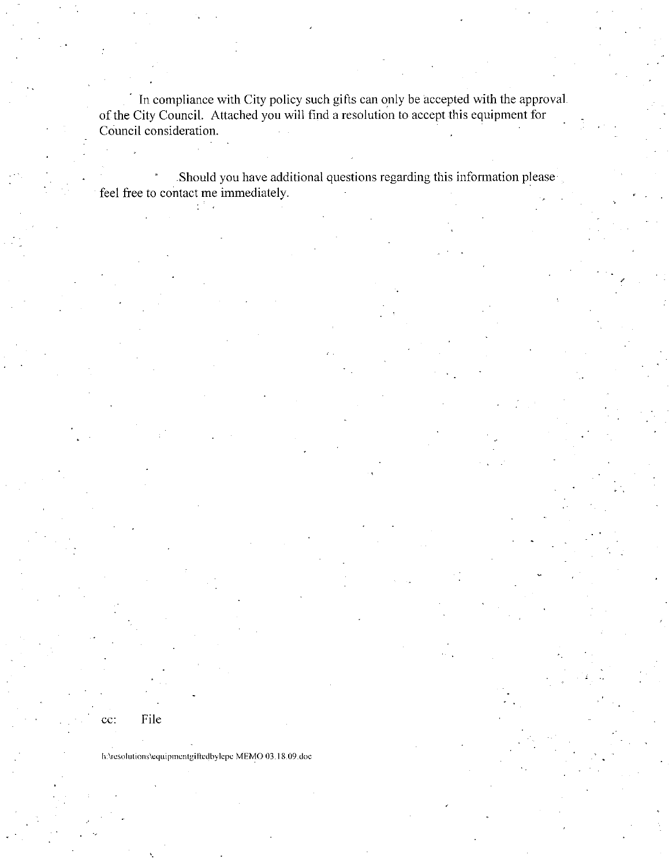In compliance with City policy such gifts can only be accepted with the approval. of the City Council. Attached you will find a resolution to accept this equipment for Council consideration

Should you have additional questions regarding this information please feel free to contact me immediately

File

cc:

CC: File<br>h:\resolutions\equipmentgiftedbylepe MEMO 0 h:\resolutions\equipmentgiftedbylepc MEMO 03.18.09.doc